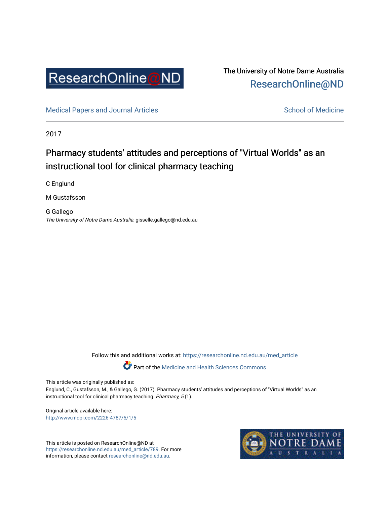

The University of Notre Dame Australia [ResearchOnline@ND](https://researchonline.nd.edu.au/) 

[Medical Papers and Journal Articles](https://researchonline.nd.edu.au/med_article) and School of Medicine

2017

# Pharmacy students' attitudes and perceptions of "Virtual Worlds" as an instructional tool for clinical pharmacy teaching

C Englund

M Gustafsson

G Gallego The University of Notre Dame Australia, gisselle.gallego@nd.edu.au

Follow this and additional works at: [https://researchonline.nd.edu.au/med\\_article](https://researchonline.nd.edu.au/med_article?utm_source=researchonline.nd.edu.au%2Fmed_article%2F789&utm_medium=PDF&utm_campaign=PDFCoverPages) 

**Part of the [Medicine and Health Sciences Commons](http://network.bepress.com/hgg/discipline/648?utm_source=researchonline.nd.edu.au%2Fmed_article%2F789&utm_medium=PDF&utm_campaign=PDFCoverPages)** 

This article was originally published as:

Englund, C., Gustafsson, M., & Gallego, G. (2017). Pharmacy students' attitudes and perceptions of "Virtual Worlds" as an instructional tool for clinical pharmacy teaching. Pharmacy, 5 (1).

Original article available here: <http://www.mdpi.com/2226-4787/5/1/5>

This article is posted on ResearchOnline@ND at [https://researchonline.nd.edu.au/med\\_article/789](https://researchonline.nd.edu.au/med_article/789). For more information, please contact [researchonline@nd.edu.au.](mailto:researchonline@nd.edu.au)

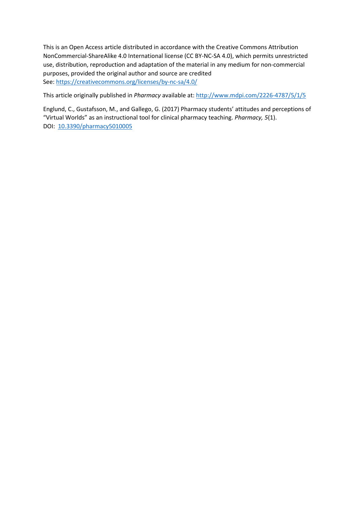This is an Open Access article distributed in accordance with the Creative Commons Attribution NonCommercial-ShareAlike 4.0 International license (CC BY-NC-SA 4.0), which permits unrestricted use, distribution, reproduction and adaptation of the material in any medium for non-commercial purposes, provided the original author and source are credited See[: https://creativecommons.org/licenses/by-nc-sa/4.0/](https://creativecommons.org/licenses/by-nc-sa/4.0/)

This article originally published in *Pharmacy* available at:<http://www.mdpi.com/2226-4787/5/1/5>

Englund, C., Gustafsson, M., and Gallego, G. (2017) Pharmacy students' attitudes and perceptions of "Virtual Worlds" as an instructional tool for clinical pharmacy teaching. *Pharmacy, 5*(1). DOI: [10.3390/pharmacy5010005](http://dx.doi.org/10.3390/pharmacy5010005)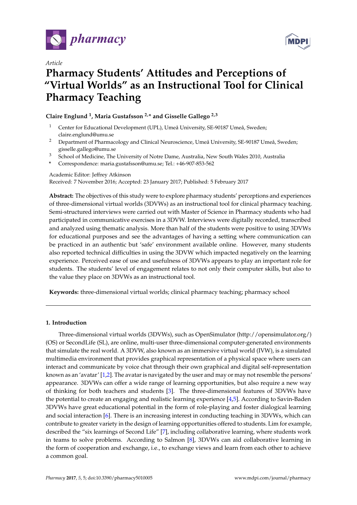



# *Article* **Pharmacy Students' Attitudes and Perceptions of "Virtual Worlds" as an Instructional Tool for Clinical Pharmacy Teaching**

# **Claire Englund <sup>1</sup> , Maria Gustafsson 2,\* and Gisselle Gallego 2,3**

- <sup>1</sup> Center for Educational Development (UPL), Umeå University, SE-90187 Umeå, Sweden; claire.englund@umu.se
- <sup>2</sup> Department of Pharmacology and Clinical Neuroscience, Umeå University, SE-90187 Umeå, Sweden; gisselle.gallego@umu.se
- <sup>3</sup> School of Medicine, The University of Notre Dame, Australia, New South Wales 2010, Australia
- **\*** Correspondence: maria.gustafsson@umu.se; Tel.: +46-907-853-562

## Academic Editor: Jeffrey Atkinson

Received: 7 November 2016; Accepted: 23 January 2017; Published: 5 February 2017

**Abstract:** The objectives of this study were to explore pharmacy students' perceptions and experiences of three-dimensional virtual worlds (3DVWs) as an instructional tool for clinical pharmacy teaching. Semi-structured interviews were carried out with Master of Science in Pharmacy students who had participated in communicative exercises in a 3DVW. Interviews were digitally recorded, transcribed and analyzed using thematic analysis. More than half of the students were positive to using 3DVWs for educational purposes and see the advantages of having a setting where communication can be practiced in an authentic but 'safe' environment available online. However, many students also reported technical difficulties in using the 3DVW which impacted negatively on the learning experience. Perceived ease of use and usefulness of 3DVWs appears to play an important role for students. The students' level of engagement relates to not only their computer skills, but also to the value they place on 3DVWs as an instructional tool.

**Keywords:** three-dimensional virtual worlds; clinical pharmacy teaching; pharmacy school

## **1. Introduction**

Three-dimensional virtual worlds (3DVWs), such as OpenSimulator [\(http://opensimulator.org/\)](http://opensimulator.org/) (OS) or SecondLife (SL), are online, multi-user three-dimensional computer-generated environments that simulate the real world. A 3DVW, also known as an immersive virtual world (IVW), is a simulated multimedia environment that provides graphical representation of a physical space where users can interact and communicate by voice chat through their own graphical and digital self-representation known as an 'avatar' [\[1,](#page-11-0)[2\]](#page-11-1). The avatar is navigated by the user and may or may not resemble the persons' appearance. 3DVWs can offer a wide range of learning opportunities, but also require a new way of thinking for both teachers and students [\[3\]](#page-11-2). The three-dimensional features of 3DVWs have the potential to create an engaging and realistic learning experience [\[4,](#page-11-3)[5\]](#page-11-4). According to Savin-Baden 3DVWs have great educational potential in the form of role-playing and foster dialogical learning and social interaction [\[6\]](#page-11-5). There is an increasing interest in conducting teaching in 3DVWs, which can contribute to greater variety in the design of learning opportunities offered to students. Lim for example, described the "six learnings of Second Life" [\[7\]](#page-11-6), including collaborative learning, where students work in teams to solve problems. According to Salmon [\[8\]](#page-11-7), 3DVWs can aid collaborative learning in the form of cooperation and exchange, i.e., to exchange views and learn from each other to achieve a common goal.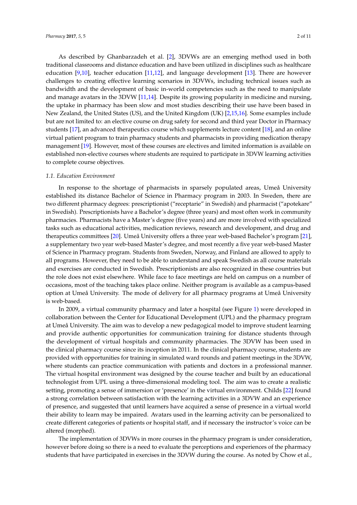As described by Ghanbarzadeh et al. [\[2\]](#page-11-1), 3DVWs are an emerging method used in both traditional classrooms and distance education and have been utilized in disciplines such as healthcare education [\[9](#page-11-8)[,10\]](#page-11-9), teacher education [\[11,](#page-11-10)[12\]](#page-11-11), and language development [\[13\]](#page-11-12). There are however challenges to creating effective learning scenarios in 3DVWs, including technical issues such as bandwidth and the development of basic in-world competencies such as the need to manipulate and manage avatars in the 3DVW [\[11](#page-11-10)[,14\]](#page-11-13). Despite its growing popularity in medicine and nursing, the uptake in pharmacy has been slow and most studies describing their use have been based in New Zealand, the United States (US), and the United Kingdom (UK) [\[2](#page-11-1)[,15](#page-12-0)[,16\]](#page-12-1). Some examples include but are not limited to: an elective course on drug safety for second and third year Doctor in Pharmacy students [\[17\]](#page-12-2), an advanced therapeutics course which supplements lecture content [\[18\]](#page-12-3), and an online virtual patient program to train pharmacy students and pharmacists in providing medication therapy management [\[19\]](#page-12-4). However, most of these courses are electives and limited information is available on established non-elective courses where students are required to participate in 3DVW learning activities to complete course objectives.

#### *1.1. Education Environment*

In response to the shortage of pharmacists in sparsely populated areas, Umeå University established its distance Bachelor of Science in Pharmacy program in 2003. In Sweden, there are two different pharmacy degrees: prescriptionist ("receptarie" in Swedish) and pharmacist ("apotekare" in Swedish). Prescriptionists have a Bachelor's degree (three years) and most often work in community pharmacies. Pharmacists have a Master's degree (five years) and are more involved with specialized tasks such as educational activities, medication reviews, research and development, and drug and therapeutics committees [\[20\]](#page-12-5). Umeå University offers a three year web-based Bachelor's program [\[21\]](#page-12-6), a supplementary two year web-based Master's degree, and most recently a five year web-based Master of Science in Pharmacy program. Students from Sweden, Norway, and Finland are allowed to apply to all programs. However, they need to be able to understand and speak Swedish as all course materials and exercises are conducted in Swedish. Prescriptionists are also recognized in these countries but the role does not exist elsewhere. While face to face meetings are held on campus on a number of occasions, most of the teaching takes place online. Neither program is available as a campus-based option at Umeå University. The mode of delivery for all pharmacy programs at Umeå University is web-based.

In 2009, a virtual community pharmacy and later a hospital (see Figure [1\)](#page-4-0) were developed in collaboration between the Center for Educational Development (UPL) and the pharmacy program at Umeå University. The aim was to develop a new pedagogical model to improve student learning and provide authentic opportunities for communication training for distance students through the development of virtual hospitals and community pharmacies. The 3DVW has been used in the clinical pharmacy course since its inception in 2011. In the clinical pharmacy course, students are provided with opportunities for training in simulated ward rounds and patient meetings in the 3DVW, where students can practice communication with patients and doctors in a professional manner. The virtual hospital environment was designed by the course teacher and built by an educational technologist from UPL using a three-dimensional modeling tool. The aim was to create a realistic setting, promoting a sense of immersion or 'presence' in the virtual environment. Childs [\[22\]](#page-12-7) found a strong correlation between satisfaction with the learning activities in a 3DVW and an experience of presence, and suggested that until learners have acquired a sense of presence in a virtual world their ability to learn may be impaired. Avatars used in the learning activity can be personalized to create different categories of patients or hospital staff, and if necessary the instructor's voice can be altered (morphed).

The implementation of 3DVWs in more courses in the pharmacy program is under consideration, however before doing so there is a need to evaluate the perceptions and experiences of the pharmacy students that have participated in exercises in the 3DVW during the course. As noted by Chow et al.,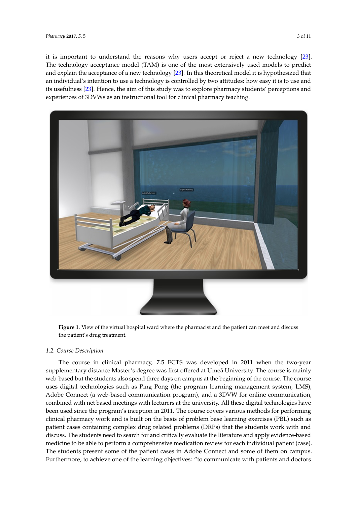it is important to understand the reasons why users accept or reject a new technology [\[23\]](#page-12-8). The technology acceptance model (TAM) is one of the most extensively used models to predict and explain the acceptance of a new technology [\[23\]](#page-12-8). In this theoretical model it is hypothesized that and explain the acceptance of a new technology [23]. In this theoretical model it is hypothesized that an individual's intention to use a technology is controlled by two attitudes: how easy it is to use and an individual's intention to use a technology is controlled by two attitudes: how easy it is to use and its usefulness [\[23\]](#page-12-8). Hence, the aim of this study was to explore pharmacy students' perceptions and experiences of 3DVWs as an instructional tool for clinical pharmacy teaching. experiences of 3DVWs as an instructional tool for clinical pharmacy teaching.

<span id="page-4-0"></span>

**Figure 1.** View of the virtual hospital ward where the pharmacist and the patient can meet and discuss **Figure 1.** View of the virtual hospital ward where the pharmacist and the patient can meet and discuss the patient's drug treatment. the patient's drug treatment.

# *1.2. Course Description 1.2. Course Description*

The course in clinical pharmacy, 7.5 ECTS was developed in 2011 when the two-year The course in clinical pharmacy, 7.5 ECTS was developed in 2011 when the two-year supplementary distance Master's degree was first offered at Umeå University. The course is mainly supplementary distance Master's degree was first offered at Umeå University. The course is mainly web-based but the students also spend three days on campus at the beginning of the course. The web-based but the students also spend three days on campus at the beginning of the course. The course course uses digital technologies such as Ping Pong (the program learning management system, LMS), uses digital technologies such as Ping Pong (the program learning management system, LMS), Adobe Connect (a web-based communication program), and a 3DVW for online communication, Adobe Connect (a web-based communication program), and a 3DVW for online communication, combined with net based meetings with lecturers at the university. All these digital technologies have combined with net based meetings with lecturers at the university. All these digital technologies have been used since the program's inception in 2011. The course covers various methods for performing been used since the program's inception in 2011. The course covers various methods for performing clinical pharmacy work and is built on the basis of problem base learning exercises (PBL) such as clinical pharmacy work and is built on the basis of problem base learning exercises (PBL) such as patient cases containing complex drug related problems (DRPs) that the students work with and patient cases containing complex drug related problems (DRPs) that the students work with and discuss. The students need to search for and critically evaluate the literature and apply evidence-discuss. The students need to search for and critically evaluate the literature and apply evidence-based based medicine to be able to perform a comprehensive medication review for each individual patient medicine to be able to perform a comprehensive medication review for each individual patient (case). (case). The students present some of the patient cases in Adobe Connect and some of them on campus. The students present some of the patient cases in Adobe Connect and some of them on campus. Furthermore, to achieve one of the learning objectives: "to communicate with patients and doctors Furthermore, to achieve one of the learning objectives: "to communicate with patients and doctors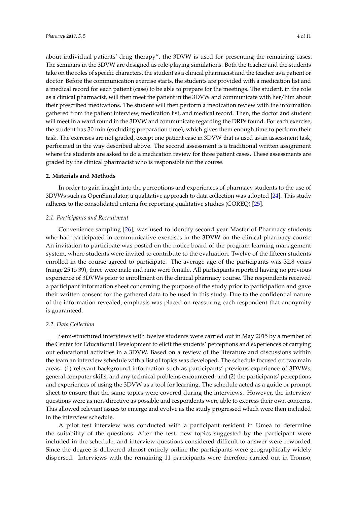about individual patients' drug therapy", the 3DVW is used for presenting the remaining cases. The seminars in the 3DVW are designed as role-playing simulations. Both the teacher and the students take on the roles of specific characters, the student as a clinical pharmacist and the teacher as a patient or doctor. Before the communication exercise starts, the students are provided with a medication list and a medical record for each patient (case) to be able to prepare for the meetings. The student, in the role as a clinical pharmacist, will then meet the patient in the 3DVW and communicate with her/him about their prescribed medications. The student will then perform a medication review with the information gathered from the patient interview, medication list, and medical record. Then, the doctor and student will meet in a ward round in the 3DVW and communicate regarding the DRPs found. For each exercise, the student has 30 min (excluding preparation time), which gives them enough time to perform their task. The exercises are not graded, except one patient case in 3DVW that is used as an assessment task, performed in the way described above. The second assessment is a traditional written assignment where the students are asked to do a medication review for three patient cases. These assessments are graded by the clinical pharmacist who is responsible for the course.

### **2. Materials and Methods**

In order to gain insight into the perceptions and experiences of pharmacy students to the use of 3DVWs such as OpenSimulator, a qualitative approach to data collection was adopted [\[24\]](#page-12-9). This study adheres to the consolidated criteria for reporting qualitative studies (COREQ) [\[25\]](#page-12-10).

## *2.1. Participants and Recruitment*

Convenience sampling [\[26\]](#page-12-11), was used to identify second year Master of Pharmacy students who had participated in communicative exercises in the 3DVW on the clinical pharmacy course. An invitation to participate was posted on the notice board of the program learning management system, where students were invited to contribute to the evaluation. Twelve of the fifteen students enrolled in the course agreed to participate. The average age of the participants was 32.8 years (range 25 to 39), three were male and nine were female. All participants reported having no previous experience of 3DVWs prior to enrollment on the clinical pharmacy course. The respondents received a participant information sheet concerning the purpose of the study prior to participation and gave their written consent for the gathered data to be used in this study. Due to the confidential nature of the information revealed, emphasis was placed on reassuring each respondent that anonymity is guaranteed.

### *2.2. Data Collection*

Semi-structured interviews with twelve students were carried out in May 2015 by a member of the Center for Educational Development to elicit the students' perceptions and experiences of carrying out educational activities in a 3DVW. Based on a review of the literature and discussions within the team an interview schedule with a list of topics was developed. The schedule focused on two main areas: (1) relevant background information such as participants' previous experience of 3DVWs, general computer skills, and any technical problems encountered; and (2) the participants' perceptions and experiences of using the 3DVW as a tool for learning. The schedule acted as a guide or prompt sheet to ensure that the same topics were covered during the interviews. However, the interview questions were as non-directive as possible and respondents were able to express their own concerns. This allowed relevant issues to emerge and evolve as the study progressed which were then included in the interview schedule.

A pilot test interview was conducted with a participant resident in Umeå to determine the suitability of the questions. After the test, new topics suggested by the participant were included in the schedule, and interview questions considered difficult to answer were reworded. Since the degree is delivered almost entirely online the participants were geographically widely dispersed. Interviews with the remaining 11 participants were therefore carried out in Tromsö,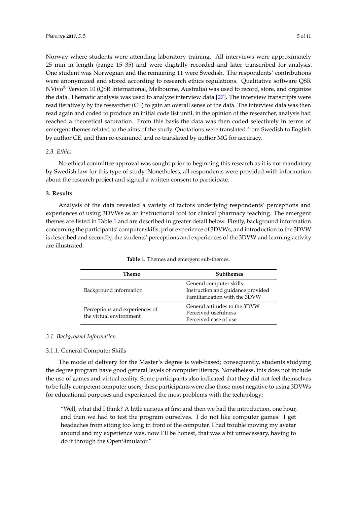Norway where students were attending laboratory training. All interviews were approximately 25 min in length (range 15–35) and were digitally recorded and later transcribed for analysis. One student was Norwegian and the remaining 11 were Swedish. The respondents' contributions were anonymized and stored according to research ethics regulations. Qualitative software QSR NVivo® Version 10 (QSR International, Melbourne, Australia) was used to record, store, and organize the data. Thematic analysis was used to analyze interview data [\[27\]](#page-12-12). The interview transcripts were read iteratively by the researcher (CE) to gain an overall sense of the data. The interview data was then read again and coded to produce an initial code list until, in the opinion of the researcher, analysis had reached a theoretical saturation. From this basis the data was then coded selectively in terms of emergent themes related to the aims of the study. Quotations were translated from Swedish to English by author CE, and then re-examined and re-translated by author MG for accuracy.

## *2.3. Ethics*

No ethical committee approval was sought prior to beginning this research as it is not mandatory by Swedish law for this type of study. Nonetheless, all respondents were provided with information about the research project and signed a written consent to participate.

## **3. Results**

Analysis of the data revealed a variety of factors underlying respondents' perceptions and experiences of using 3DVWs as an instructional tool for clinical pharmacy teaching. The emergent themes are listed in Table [1](#page-6-0) and are described in greater detail below. Firstly, background information concerning the participants' computer skills, prior experience of 3DVWs, and introduction to the 3DVW is described and secondly, the students' perceptions and experiences of the 3DVW and learning activity are illustrated.

<span id="page-6-0"></span>

| Theme                                                     | <b>Subthemes</b>                                                                              |
|-----------------------------------------------------------|-----------------------------------------------------------------------------------------------|
| Background information                                    | General computer skills<br>Instruction and guidance provided<br>Familiarization with the 3DVW |
| Perceptions and experiences of<br>the virtual environment | General attitudes to the 3DVW<br>Perceived usefulness<br>Perceived ease of use                |

**Table 1.** Themes and emergent sub-themes.

# *3.1. Background Information*

# 3.1.1. General Computer Skills

The mode of delivery for the Master's degree is web-based; consequently, students studying the degree program have good general levels of computer literacy. Nonetheless, this does not include the use of games and virtual reality. Some participants also indicated that they did not feel themselves to be fully competent computer users; these participants were also those most negative to using 3DVWs for educational purposes and experienced the most problems with the technology:

"Well, what did I think? A little curious at first and then we had the introduction, one hour, and then we had to test the program ourselves. I do not like computer games. I get headaches from sitting too long in front of the computer. I had trouble moving my avatar around and my experience was, now I'll be honest, that was a bit unnecessary, having to do it through the OpenSimulator."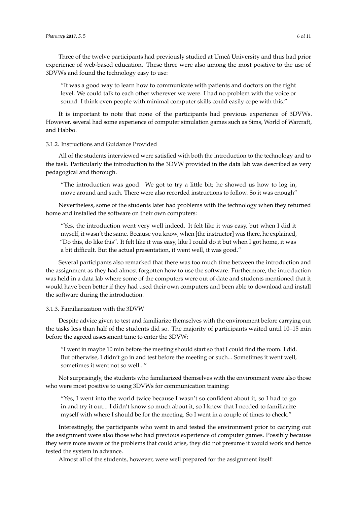Three of the twelve participants had previously studied at Umeå University and thus had prior experience of web-based education. These three were also among the most positive to the use of 3DVWs and found the technology easy to use:

"It was a good way to learn how to communicate with patients and doctors on the right level. We could talk to each other wherever we were. I had no problem with the voice or sound. I think even people with minimal computer skills could easily cope with this."

It is important to note that none of the participants had previous experience of 3DVWs. However, several had some experience of computer simulation games such as Sims, World of Warcraft, and Habbo.

### 3.1.2. Instructions and Guidance Provided

All of the students interviewed were satisfied with both the introduction to the technology and to the task. Particularly the introduction to the 3DVW provided in the data lab was described as very pedagogical and thorough.

"The introduction was good. We got to try a little bit; he showed us how to log in, move around and such. There were also recorded instructions to follow. So it was enough"

Nevertheless, some of the students later had problems with the technology when they returned home and installed the software on their own computers:

"Yes, the introduction went very well indeed. It felt like it was easy, but when I did it myself, it wasn't the same. Because you know, when [the instructor] was there, he explained, "Do this, do like this". It felt like it was easy, like I could do it but when I got home, it was a bit difficult. But the actual presentation, it went well, it was good."

Several participants also remarked that there was too much time between the introduction and the assignment as they had almost forgotten how to use the software. Furthermore, the introduction was held in a data lab where some of the computers were out of date and students mentioned that it would have been better if they had used their own computers and been able to download and install the software during the introduction.

### 3.1.3. Familiarization with the 3DVW

Despite advice given to test and familiarize themselves with the environment before carrying out the tasks less than half of the students did so. The majority of participants waited until 10–15 min before the agreed assessment time to enter the 3DVW:

"I went in maybe 10 min before the meeting should start so that I could find the room. I did. But otherwise, I didn't go in and test before the meeting or such... Sometimes it went well, sometimes it went not so well..."

Not surprisingly, the students who familiarized themselves with the environment were also those who were most positive to using 3DVWs for communication training:

"Yes, I went into the world twice because I wasn't so confident about it, so I had to go in and try it out... I didn't know so much about it, so I knew that I needed to familiarize myself with where I should be for the meeting. So I went in a couple of times to check."

Interestingly, the participants who went in and tested the environment prior to carrying out the assignment were also those who had previous experience of computer games. Possibly because they were more aware of the problems that could arise, they did not presume it would work and hence tested the system in advance.

Almost all of the students, however, were well prepared for the assignment itself: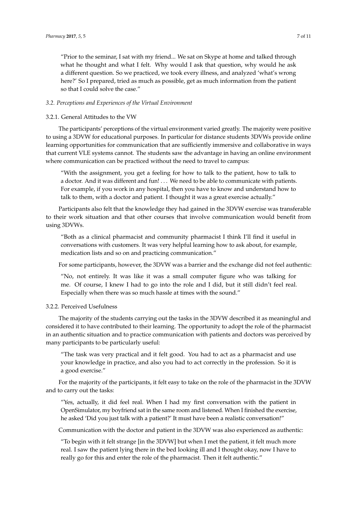"Prior to the seminar, I sat with my friend... We sat on Skype at home and talked through what he thought and what I felt. Why would I ask that question, why would he ask a different question. So we practiced, we took every illness, and analyzed 'what's wrong here?' So I prepared, tried as much as possible, get as much information from the patient so that I could solve the case."

### *3.2. Perceptions and Experiences of the Virtual Environment*

### 3.2.1. General Attitudes to the VW

The participants' perceptions of the virtual environment varied greatly. The majority were positive to using a 3DVW for educational purposes. In particular for distance students 3DVWs provide online learning opportunities for communication that are sufficiently immersive and collaborative in ways that current VLE systems cannot. The students saw the advantage in having an online environment where communication can be practiced without the need to travel to campus:

"With the assignment, you get a feeling for how to talk to the patient, how to talk to a doctor. And it was different and fun! . . . We need to be able to communicate with patients. For example, if you work in any hospital, then you have to know and understand how to talk to them, with a doctor and patient. I thought it was a great exercise actually."

Participants also felt that the knowledge they had gained in the 3DVW exercise was transferable to their work situation and that other courses that involve communication would benefit from using 3DVWs.

"Both as a clinical pharmacist and community pharmacist I think I'll find it useful in conversations with customers. It was very helpful learning how to ask about, for example, medication lists and so on and practicing communication."

For some participants, however, the 3DVW was a barrier and the exchange did not feel authentic:

"No, not entirely. It was like it was a small computer figure who was talking for me. Of course, I knew I had to go into the role and I did, but it still didn't feel real. Especially when there was so much hassle at times with the sound."

### 3.2.2. Perceived Usefulness

The majority of the students carrying out the tasks in the 3DVW described it as meaningful and considered it to have contributed to their learning. The opportunity to adopt the role of the pharmacist in an authentic situation and to practice communication with patients and doctors was perceived by many participants to be particularly useful:

"The task was very practical and it felt good. You had to act as a pharmacist and use your knowledge in practice, and also you had to act correctly in the profession. So it is a good exercise."

For the majority of the participants, it felt easy to take on the role of the pharmacist in the 3DVW and to carry out the tasks:

"Yes, actually, it did feel real. When I had my first conversation with the patient in OpenSimulator, my boyfriend sat in the same room and listened. When I finished the exercise, he asked 'Did you just talk with a patient?' It must have been a realistic conversation!"

Communication with the doctor and patient in the 3DVW was also experienced as authentic:

"To begin with it felt strange [in the 3DVW] but when I met the patient, it felt much more real. I saw the patient lying there in the bed looking ill and I thought okay, now I have to really go for this and enter the role of the pharmacist. Then it felt authentic."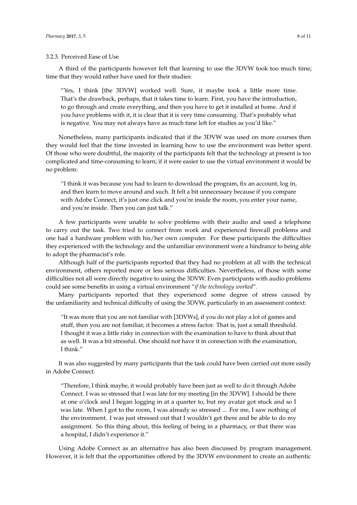### 3.2.3. Perceived Ease of Use

A third of the participants however felt that learning to use the 3DVW took too much time; time that they would rather have used for their studies:

"Yes, I think [the 3DVW] worked well. Sure, it maybe took a little more time. That's the drawback, perhaps, that it takes time to learn. First, you have the introduction, to go through and create everything, and then you have to get it installed at home. And if you have problems with it, it is clear that it is very time consuming. That's probably what is negative. You may not always have as much time left for studies as you'd like."

Nonetheless, many participants indicated that if the 3DVW was used on more courses then they would feel that the time invested in learning how to use the environment was better spent. Of those who were doubtful, the majority of the participants felt that the technology at present is too complicated and time-consuming to learn; if it were easier to use the virtual environment it would be no problem:

"I think it was because you had to learn to download the program, fix an account, log in, and then learn to move around and such. It felt a bit unnecessary because if you compare with Adobe Connect, it's just one click and you're inside the room, you enter your name, and you're inside. Then you can just talk."

A few participants were unable to solve problems with their audio and used a telephone to carry out the task. Two tried to connect from work and experienced firewall problems and one had a hardware problem with his/her own computer. For these participants the difficulties they experienced with the technology and the unfamiliar environment were a hindrance to being able to adopt the pharmacist's role.

Although half of the participants reported that they had no problem at all with the technical environment, others reported more or less serious difficulties. Nevertheless, of those with some difficulties not all were directly negative to using the 3DVW. Even participants with audio problems could see some benefits in using a virtual environment "*if the technology worked*".

Many participants reported that they experienced some degree of stress caused by the unfamiliarity and technical difficulty of using the 3DVW, particularly in an assessment context:

"It was more that you are not familiar with [3DVWs], if you do not play a lot of games and stuff, then you are not familiar, it becomes a stress factor. That is, just a small threshold. I thought it was a little risky in connection with the examination to have to think about that as well. It was a bit stressful. One should not have it in connection with the examination, I think."

It was also suggested by many participants that the task could have been carried out more easily in Adobe Connect.

"Therefore, I think maybe, it would probably have been just as well to do it through Adobe Connect. I was so stressed that I was late for my meeting [in the 3DVW]. I should be there at one o'clock and I began logging in at a quarter to, but my avatar got stuck and so I was late. When I got to the room, I was already so stressed ... For me, I saw nothing of the environment. I was just stressed out that I wouldn't get there and be able to do my assignment. So this thing about, this feeling of being in a pharmacy, or that there was a hospital, I didn't experience it."

Using Adobe Connect as an alternative has also been discussed by program management. However, it is felt that the opportunities offered by the 3DVW environment to create an authentic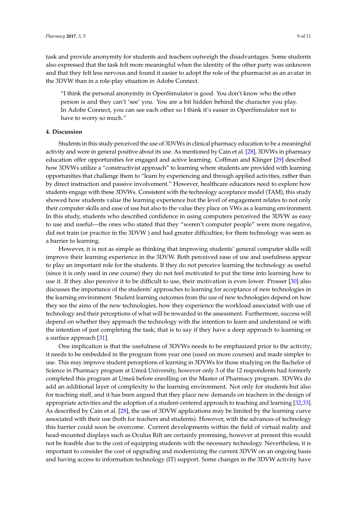task and provide anonymity for students and teachers outweigh the disadvantages. Some students also expressed that the task felt more meaningful when the identity of the other party was unknown and that they felt less nervous and found it easier to adopt the role of the pharmacist as an avatar in the 3DVW than in a role-play situation in Adobe Connect.

"I think the personal anonymity in OpenSimulator is good. You don't know who the other person is and they can't 'see' you. You are a bit hidden behind the character you play. In Adobe Connect, you can see each other so I think it's easier in OpenSimulator not to have to worry so much."

#### **4. Discussion**

Students in this study perceived the use of 3DVWs in clinical pharmacy education to be a meaningful activity and were in general positive about its use. As mentioned by Cain et al. [\[28\]](#page-12-13), 3DVWs in pharmacy education offer opportunities for engaged and active learning. Coffman and Klinger [\[29\]](#page-12-14) described how 3DVWs utilize a "constructivist approach" to learning where students are provided with learning opportunities that challenge them to "learn by experiencing and through applied activities, rather than by direct instruction and passive involvement." However, healthcare educators need to explore how students engage with these 3DVWs. Consistent with the technology acceptance model (TAM), this study showed how students value the learning experience but the level of engagement relates to not only their computer skills and ease of use but also to the value they place on VWs as a learning environment. In this study, students who described confidence in using computers perceived the 3DVW as easy to use and useful—the ones who stated that they "weren't computer people" were more negative, did not train (or practice in the 3DVW ) and had greater difficulties; for them technology was seen as a barrier to learning.

However, it is not as simple as thinking that improving students' general computer skills will improve their learning experience in the 3DVW. Both perceived ease of use and usefulness appear to play an important role for the students. If they do not perceive learning the technology as useful (since it is only used in one course) they do not feel motivated to put the time into learning how to use it. If they also perceive it to be difficult to use, their motivation is even lower. Prosser [\[30\]](#page-12-15) also discusses the importance of the students' approaches to learning for acceptance of new technologies in the learning environment. Student learning outcomes from the use of new technologies depend on how they see the aims of the new technologies, how they experience the workload associated with use of technology and their perceptions of what will be rewarded in the assessment. Furthermore, success will depend on whether they approach the technology with the intention to learn and understand or with the intention of just completing the task; that is to say if they have a deep approach to learning or a surface approach [\[31\]](#page-12-16).

One implication is that the usefulness of 3DVWs needs to be emphasized prior to the activity; it needs to be embedded in the program from year one (used on more courses) and made simpler to use. This may improve student perceptions of learning in 3DVWs for those studying on the Bachelor of Science in Pharmacy program at Umeå University, however only 3 of the 12 respondents had formerly completed this program at Umeå before enrolling on the Master of Pharmacy program. 3DVWs do add an additional layer of complexity to the learning environment. Not only for students but also for teaching staff, and it has been argued that they place new demands on teachers in the design of appropriate activities and the adoption of a student-centered approach to teaching and learning [\[32](#page-12-17)[,33\]](#page-12-18). As described by Cain et al. [\[28\]](#page-12-13), the use of 3DVW applications may be limited by the learning curve associated with their use (both for teachers and students). However, with the advances of technology this barrier could soon be overcome. Current developments within the field of virtual reality and head-mounted displays such as Oculus Rift are certainly promising, however at present this would not be feasible due to the cost of equipping students with the necessary technology. Nevertheless, it is important to consider the cost of upgrading and modernizing the current 3DVW on an ongoing basis and having access to information technology (IT) support. Some changes in the 3DVW activity have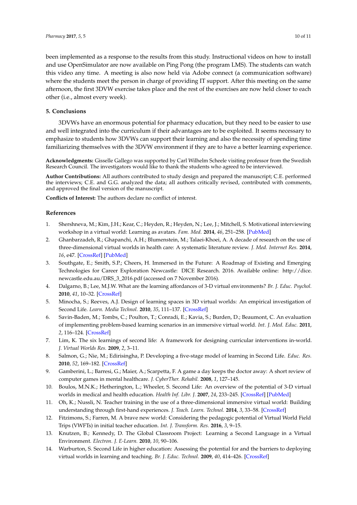been implemented as a response to the results from this study. Instructional videos on how to install and use OpenSimulator are now available on Ping Pong (the program LMS). The students can watch this video any time. A meeting is also now held via Adobe connect (a communication software) where the students meet the person in charge of providing IT support. After this meeting on the same afternoon, the first 3DVW exercise takes place and the rest of the exercises are now held closer to each other (i.e., almost every week).

# **5. Conclusions**

3DVWs have an enormous potential for pharmacy education, but they need to be easier to use and well integrated into the curriculum if their advantages are to be exploited. It seems necessary to emphasize to students how 3DVWs can support their learning and also the necessity of spending time familiarizing themselves with the 3DVW environment if they are to have a better learning experience.

**Acknowledgments:** Gisselle Gallego was supported by Carl Wilhelm Scheele visiting professor from the Swedish Research Council. The investigators would like to thank the students who agreed to be interviewed.

**Author Contributions:** All authors contributed to study design and prepared the manuscript; C.E. performed the interviews; C.E. and G.G. analyzed the data; all authors critically revised, contributed with comments, and approved the final version of the manuscript.

**Conflicts of Interest:** The authors declare no conflict of interest.

## **References**

- <span id="page-11-0"></span>1. Shershneva, M.; Kim, J.H.; Kear, C.; Heyden, R.; Heyden, N.; Lee, J.; Mitchell, S. Motivational interviewing workshop in a virtual world: Learning as avatars. *Fam. Med.* **2014**, *46*, 251–258. [\[PubMed\]](http://www.ncbi.nlm.nih.gov/pubmed/24788420)
- <span id="page-11-1"></span>2. Ghanbarzadeh, R.; Ghapanchi, A.H.; Blumenstein, M.; Talaei-Khoei, A. A decade of research on the use of three-dimensional virtual worlds in health care: A systematic literature review. *J. Med. Internet Res.* **2014**, *16*, e47. [\[CrossRef\]](http://dx.doi.org/10.2196/jmir.3097) [\[PubMed\]](http://www.ncbi.nlm.nih.gov/pubmed/24550130)
- <span id="page-11-2"></span>3. Southgate, E.; Smith, S.P.; Cheers, H. Immersed in the Future: A Roadmap of Existing and Emerging Technologies for Career Exploration Newcastle: DICE Research. 2016. Available online: [http://dice.](http://dice.newcastle.edu.au/DRS_3_2016.pdf) [newcastle.edu.au/DRS\\_3\\_2016.pdf](http://dice.newcastle.edu.au/DRS_3_2016.pdf) (accessed on 7 November 2016).
- <span id="page-11-3"></span>4. Dalgarno, B.; Lee, M.J.W. What are the learning affordances of 3-D virtual environments? *Br. J. Educ. Psychol.* **2010**, *41*, 10–32. [\[CrossRef\]](http://dx.doi.org/10.1111/j.1467-8535.2009.01038.x)
- <span id="page-11-4"></span>5. Minocha, S.; Reeves, A.J. Design of learning spaces in 3D virtual worlds: An empirical investigation of Second Life. *Learn. Media Technol.* **2010**, *35*, 111–137. [\[CrossRef\]](http://dx.doi.org/10.1080/17439884.2010.494419)
- <span id="page-11-5"></span>6. Savin-Baden, M.; Tombs, C.; Poulton, T.; Conradi, E.; Kavia, S.; Burden, D.; Beaumont, C. An evaluation of implementing problem-based learning scenarios in an immersive virtual world. *Int. J. Med. Educ.* **2011**, *2*, 116–124. [\[CrossRef\]](http://dx.doi.org/10.5116/ijme.4e92.b22f)
- <span id="page-11-6"></span>7. Lim, K. The six learnings of second life: A framework for designing curricular interventions in-world. *J. Virtual Worlds Res.* **2009**, *2*, 3–11.
- <span id="page-11-7"></span>8. Salmon, G.; Nie, M.; Edirisingha, P. Developing a five-stage model of learning in Second Life. *Educ. Res.* **2010**, *52*, 169–182. [\[CrossRef\]](http://dx.doi.org/10.1080/00131881.2010.482744)
- <span id="page-11-8"></span>9. Gamberini, L.; Barresi, G.; Maier, A.; Scarpetta, F. A game a day keeps the doctor away: A short review of computer games in mental healthcare. *J. CyberTher. Rehabil.* **2008**, *1*, 127–145.
- <span id="page-11-9"></span>10. Boulos, M.N.K.; Hetherington, L.; Wheeler, S. Second Life: An overview of the potential of 3-D virtual worlds in medical and health education. *Health Inf. Libr. J.* **2007**, *24*, 233–245. [\[CrossRef\]](http://dx.doi.org/10.1111/j.1471-1842.2007.00733.x) [\[PubMed\]](http://www.ncbi.nlm.nih.gov/pubmed/18005298)
- <span id="page-11-10"></span>11. Oh, K.; Nussli, N. Teacher training in the use of a three-dimensional immersive virtual world: Building understanding through first-hand experiences. *J. Teach. Learn. Technol.* **2014**, *3*, 33–58. [\[CrossRef\]](http://dx.doi.org/10.14434/jotlt.v3n1.3956)
- <span id="page-11-11"></span>12. Fitzimons, S.; Farren, M. A brave new world: Considering the pedagogic potential of Virtual World Field Trips (VWFTs) in initial teacher education. *Int. J. Transform. Res.* **2016**, *3*, 9–15.
- <span id="page-11-12"></span>13. Knutzen, B.; Kennedy, D. The Global Classroom Project: Learning a Second Language in a Virtual Environment. *Electron. J. E-Learn.* **2010**, *10*, 90–106.
- <span id="page-11-13"></span>14. Warburton, S. Second Life in higher education: Assessing the potential for and the barriers to deploying virtual worlds in learning and teaching. *Br. J. Educ. Technol.* **2009**, *40*, 414–426. [\[CrossRef\]](http://dx.doi.org/10.1111/j.1467-8535.2009.00952.x)